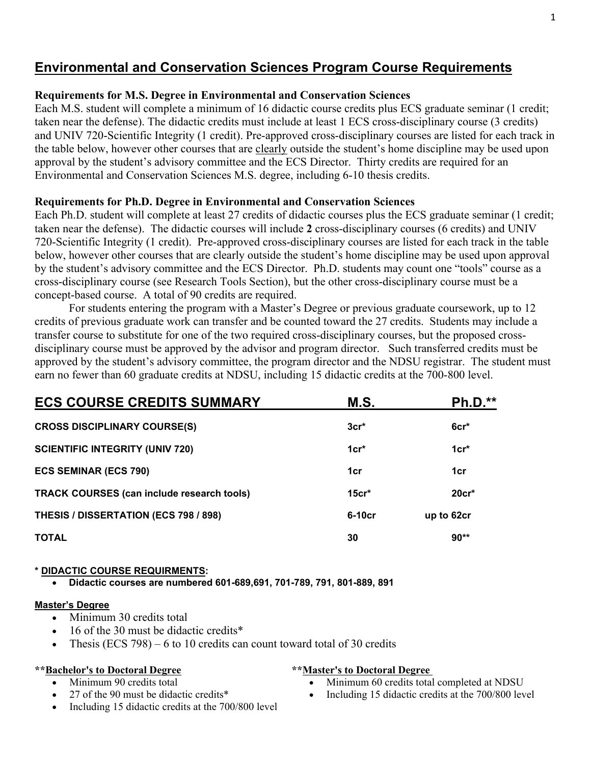# **Environmental and Conservation Sciences Program Course Requirements**

## **Requirements for M.S. Degree in Environmental and Conservation Sciences**

Each M.S. student will complete a minimum of 16 didactic course credits plus ECS graduate seminar (1 credit; taken near the defense). The didactic credits must include at least 1 ECS cross-disciplinary course (3 credits) and UNIV 720-Scientific Integrity (1 credit). Pre-approved cross-disciplinary courses are listed for each track in the table below, however other courses that are clearly outside the student's home discipline may be used upon approval by the student's advisory committee and the ECS Director.Thirty credits are required for an Environmental and Conservation Sciences M.S. degree, including 6-10 thesis credits.

## **Requirements for Ph.D. Degree in Environmental and Conservation Sciences**

Each Ph.D. student will complete at least 27 credits of didactic courses plus the ECS graduate seminar (1 credit; taken near the defense). The didactic courses will include **2** cross-disciplinary courses (6 credits) and UNIV 720-Scientific Integrity (1 credit). Pre-approved cross-disciplinary courses are listed for each track in the table below, however other courses that are clearly outside the student's home discipline may be used upon approval by the student's advisory committee and the ECS Director. Ph.D. students may count one "tools" course as a cross-disciplinary course (see Research Tools Section), but the other cross-disciplinary course must be a concept-based course. A total of 90 credits are required.

 For students entering the program with a Master's Degree or previous graduate coursework, up to 12 credits of previous graduate work can transfer and be counted toward the 27 credits. Students may include a transfer course to substitute for one of the two required cross-disciplinary courses, but the proposed crossdisciplinary course must be approved by the advisor and program director. Such transferred credits must be approved by the student's advisory committee, the program director and the NDSU registrar. The student must earn no fewer than 60 graduate credits at NDSU, including 15 didactic credits at the 700-800 level.

| <b>ECS COURSE CREDITS SUMMARY</b>                 | M.S.                | $Ph.D.*$   |
|---------------------------------------------------|---------------------|------------|
| <b>CROSS DISCIPLINARY COURSE(S)</b>               | $3cr*$              | $6cr*$     |
| <b>SCIENTIFIC INTEGRITY (UNIV 720)</b>            | $1cr*$              | $1cr^*$    |
| <b>ECS SEMINAR (ECS 790)</b>                      | 1cr                 | 1cr        |
| <b>TRACK COURSES (can include research tools)</b> | $15cr$ <sup>*</sup> | $20cr*$    |
| THESIS / DISSERTATION (ECS 798 / 898)             | 6-10cr              | up to 62cr |
| <b>TOTAL</b>                                      | 30                  | $90**$     |

## **\* DIDACTIC COURSE REQUIRMENTS:**

**Didactic courses are numbered 601-689,691, 701-789, 791, 801-889, 891** 

## **Master's Degree**

- Minimum 30 credits total
- 16 of the 30 must be didactic credits\*
- Thesis (ECS 798) 6 to 10 credits can count toward total of 30 credits

## **\*\*Bachelor's to Doctoral Degree**

- Minimum 90 credits total
- 27 of the 90 must be didactic credits\*
- Including 15 didactic credits at the 700/800 level

## **\*\*Master's to Doctoral Degree**

- Minimum 60 credits total completed at NDSU
- Including 15 didactic credits at the 700/800 level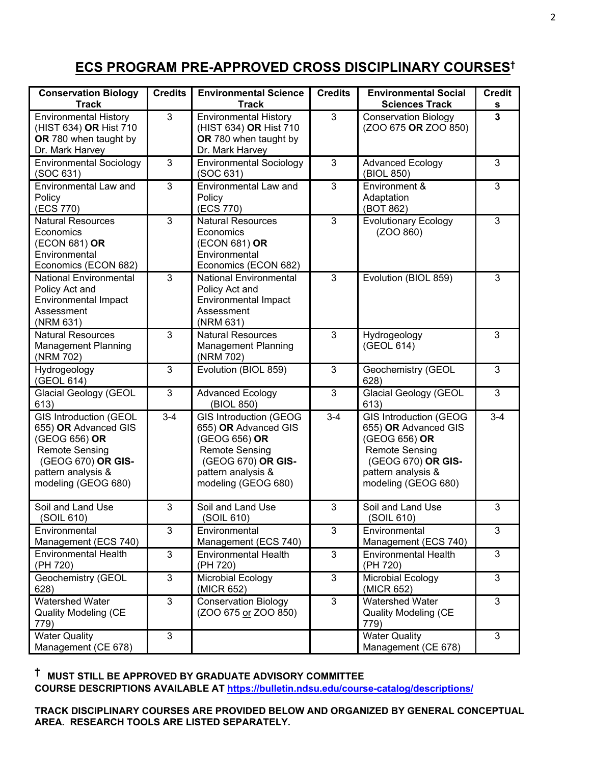# **ECS PROGRAM PRE-APPROVED CROSS DISCIPLINARY COURSES†**

| <b>Conservation Biology</b>                                                                                                                                        | <b>Credits</b> | <b>Environmental Science</b>                                                                                                                                       | <b>Credits</b> | <b>Environmental Social</b>                                                                                                                                        | <b>Credit</b>  |
|--------------------------------------------------------------------------------------------------------------------------------------------------------------------|----------------|--------------------------------------------------------------------------------------------------------------------------------------------------------------------|----------------|--------------------------------------------------------------------------------------------------------------------------------------------------------------------|----------------|
| <b>Track</b>                                                                                                                                                       |                | <b>Track</b>                                                                                                                                                       |                | <b>Sciences Track</b>                                                                                                                                              | s              |
| <b>Environmental History</b><br>(HIST 634) OR Hist 710<br>OR 780 when taught by<br>Dr. Mark Harvey                                                                 | 3              | <b>Environmental History</b><br>(HIST 634) OR Hist 710<br>OR 780 when taught by<br>Dr. Mark Harvey                                                                 | 3              | <b>Conservation Biology</b><br>(ZOO 675 OR ZOO 850)                                                                                                                | $\overline{3}$ |
| <b>Environmental Sociology</b><br>(SOC 631)                                                                                                                        | 3              | <b>Environmental Sociology</b><br>(SOC 631)                                                                                                                        | 3              | <b>Advanced Ecology</b><br>(BIOL 850)                                                                                                                              | 3              |
| Environmental Law and<br>Policy<br>(ECS 770)                                                                                                                       | $\overline{3}$ | Environmental Law and<br>Policy<br>(ECS 770)                                                                                                                       | 3              | Environment &<br>Adaptation<br>(BOT 862)                                                                                                                           | $\mathbf{3}$   |
| <b>Natural Resources</b><br>Economics<br>(ECON 681) OR<br>Environmental<br>Economics (ECON 682)                                                                    | $\overline{3}$ | <b>Natural Resources</b><br>Economics<br>(ECON 681) OR<br>Environmental<br>Economics (ECON 682)                                                                    | $\mathfrak{S}$ | Evolutionary Ecology<br>(ZOO 860)                                                                                                                                  | $\mathbf{3}$   |
| <b>National Environmental</b><br>Policy Act and<br><b>Environmental Impact</b><br>Assessment<br>(NRM 631)                                                          | 3              | <b>National Environmental</b><br>Policy Act and<br><b>Environmental Impact</b><br>Assessment<br>(NRM 631)                                                          | 3              | Evolution (BIOL 859)                                                                                                                                               | 3              |
| <b>Natural Resources</b><br><b>Management Planning</b><br>(NRM 702)                                                                                                | 3              | <b>Natural Resources</b><br><b>Management Planning</b><br>(NRM 702)                                                                                                | 3              | Hydrogeology<br>(GEOL 614)                                                                                                                                         | 3              |
| Hydrogeology<br>(GEOL 614)                                                                                                                                         | 3              | Evolution (BIOL 859)                                                                                                                                               | $\mathbf{3}$   | Geochemistry (GEOL<br>628)                                                                                                                                         | 3              |
| <b>Glacial Geology (GEOL</b><br>613)                                                                                                                               | $\mathbf{3}$   | <b>Advanced Ecology</b><br>(BIOL 850)                                                                                                                              | 3              | <b>Glacial Geology (GEOL</b><br>613)                                                                                                                               | $\mathbf{3}$   |
| <b>GIS Introduction (GEOL</b><br>655) OR Advanced GIS<br>(GEOG 656) OR<br><b>Remote Sensing</b><br>(GEOG 670) OR GIS-<br>pattern analysis &<br>modeling (GEOG 680) | $3 - 4$        | <b>GIS Introduction (GEOG</b><br>655) OR Advanced GIS<br>(GEOG 656) OR<br><b>Remote Sensing</b><br>(GEOG 670) OR GIS-<br>pattern analysis &<br>modeling (GEOG 680) | $3 - 4$        | <b>GIS Introduction (GEOG</b><br>655) OR Advanced GIS<br>(GEOG 656) OR<br><b>Remote Sensing</b><br>(GEOG 670) OR GIS-<br>pattern analysis &<br>modeling (GEOG 680) | $3 - 4$        |
| Soil and Land Use<br>(SOIL 610)                                                                                                                                    | 3              | Soil and Land Use<br>(SOIL 610)                                                                                                                                    | 3              | Soil and Land Use<br>(SOIL 610)                                                                                                                                    | $\mathbf{3}$   |
| Environmental<br>Management (ECS 740)                                                                                                                              | 3              | Environmental<br>Management (ECS 740)                                                                                                                              | $\overline{3}$ | Environmental<br>Management (ECS 740)                                                                                                                              | 3              |
| <b>Environmental Health</b><br>(PH 720)                                                                                                                            | $\mathbf{3}$   | <b>Environmental Health</b><br>(PH 720)                                                                                                                            | $\mathbf{3}$   | <b>Environmental Health</b><br>(PH 720)                                                                                                                            | 3              |
| Geochemistry (GEOL<br>628)                                                                                                                                         | 3              | Microbial Ecology<br>(MICR 652)                                                                                                                                    | $\mathbf 3$    | Microbial Ecology<br>(MICR 652)                                                                                                                                    | 3              |
| Watershed Water<br><b>Quality Modeling (CE</b><br>779)                                                                                                             | 3              | <b>Conservation Biology</b><br>(ZOO 675 or ZOO 850)                                                                                                                | $\overline{3}$ | <b>Watershed Water</b><br><b>Quality Modeling (CE</b><br>779)                                                                                                      | $\mathbf{3}$   |
| <b>Water Quality</b><br>Management (CE 678)                                                                                                                        | $\mathfrak{S}$ |                                                                                                                                                                    |                | <b>Water Quality</b><br>Management (CE 678)                                                                                                                        | 3              |

## **† MUST STILL BE APPROVED BY GRADUATE ADVISORY COMMITTEE COURSE DESCRIPTIONS AVAILABLE AT https://bulletin.ndsu.edu/course-catalog/descriptions/**

**TRACK DISCIPLINARY COURSES ARE PROVIDED BELOW AND ORGANIZED BY GENERAL CONCEPTUAL AREA. RESEARCH TOOLS ARE LISTED SEPARATELY.**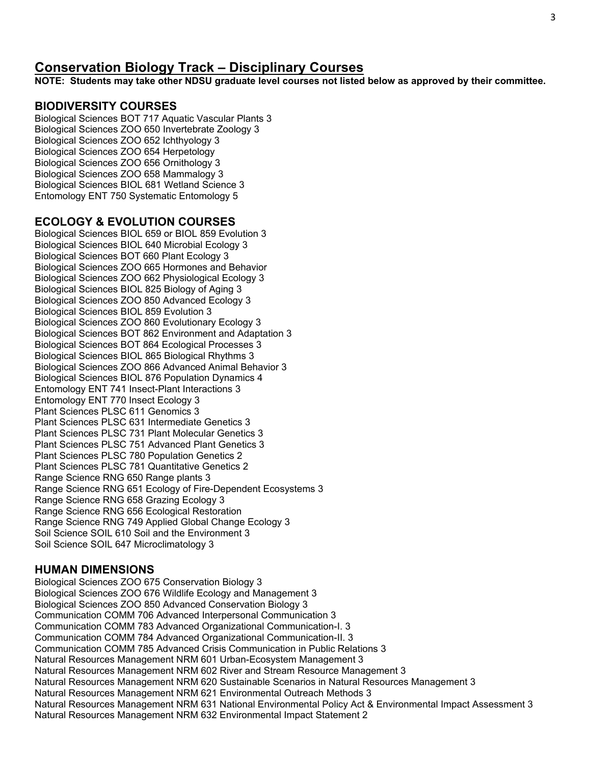## **Conservation Biology Track – Disciplinary Courses**

**NOTE: Students may take other NDSU graduate level courses not listed below as approved by their committee.** 

## **BIODIVERSITY COURSES**

Biological Sciences BOT 717 Aquatic Vascular Plants 3 Biological Sciences ZOO 650 Invertebrate Zoology 3 Biological Sciences ZOO 652 Ichthyology 3 Biological Sciences ZOO 654 Herpetology Biological Sciences ZOO 656 Ornithology 3 Biological Sciences ZOO 658 Mammalogy 3 Biological Sciences BIOL 681 Wetland Science 3 Entomology ENT 750 Systematic Entomology 5

#### **ECOLOGY & EVOLUTION COURSES**

Biological Sciences BIOL 659 or BIOL 859 Evolution 3 Biological Sciences BIOL 640 Microbial Ecology 3 Biological Sciences BOT 660 Plant Ecology 3 Biological Sciences ZOO 665 Hormones and Behavior Biological Sciences ZOO 662 Physiological Ecology 3 Biological Sciences BIOL 825 Biology of Aging 3 Biological Sciences ZOO 850 Advanced Ecology 3 Biological Sciences BIOL 859 Evolution 3 Biological Sciences ZOO 860 Evolutionary Ecology 3 Biological Sciences BOT 862 Environment and Adaptation 3 Biological Sciences BOT 864 Ecological Processes 3 Biological Sciences BIOL 865 Biological Rhythms 3 Biological Sciences ZOO 866 Advanced Animal Behavior 3 Biological Sciences BIOL 876 Population Dynamics 4 Entomology ENT 741 Insect-Plant Interactions 3 Entomology ENT 770 Insect Ecology 3 Plant Sciences PLSC 611 Genomics 3 Plant Sciences PLSC 631 Intermediate Genetics 3 Plant Sciences PLSC 731 Plant Molecular Genetics 3 Plant Sciences PLSC 751 Advanced Plant Genetics 3 Plant Sciences PLSC 780 Population Genetics 2 Plant Sciences PLSC 781 Quantitative Genetics 2 Range Science RNG 650 Range plants 3 Range Science RNG 651 Ecology of Fire-Dependent Ecosystems 3 Range Science RNG 658 Grazing Ecology 3 Range Science RNG 656 Ecological Restoration Range Science RNG 749 Applied Global Change Ecology 3 Soil Science SOIL 610 Soil and the Environment 3 Soil Science SOIL 647 Microclimatology 3

## **HUMAN DIMENSIONS**

Biological Sciences ZOO 675 Conservation Biology 3 Biological Sciences ZOO 676 Wildlife Ecology and Management 3 Biological Sciences ZOO 850 Advanced Conservation Biology 3 Communication COMM 706 Advanced Interpersonal Communication 3 Communication COMM 783 Advanced Organizational Communication-I. 3 Communication COMM 784 Advanced Organizational Communication-II. 3 Communication COMM 785 Advanced Crisis Communication in Public Relations 3 Natural Resources Management NRM 601 Urban-Ecosystem Management 3 Natural Resources Management NRM 602 River and Stream Resource Management 3 Natural Resources Management NRM 620 Sustainable Scenarios in Natural Resources Management 3 Natural Resources Management NRM 621 Environmental Outreach Methods 3 Natural Resources Management NRM 631 National Environmental Policy Act & Environmental Impact Assessment 3 Natural Resources Management NRM 632 Environmental Impact Statement 2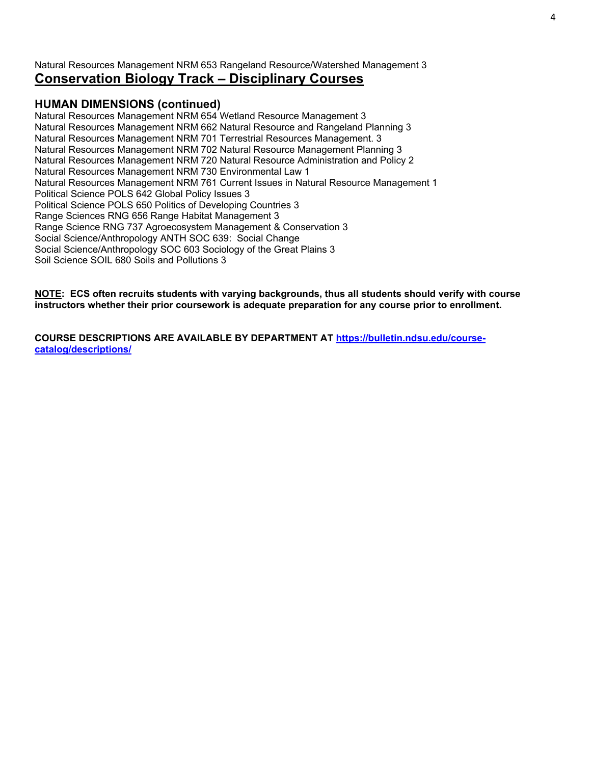## Natural Resources Management NRM 653 Rangeland Resource/Watershed Management 3 **Conservation Biology Track – Disciplinary Courses**

## **HUMAN DIMENSIONS (continued)**

Natural Resources Management NRM 654 Wetland Resource Management 3 Natural Resources Management NRM 662 Natural Resource and Rangeland Planning 3 Natural Resources Management NRM 701 Terrestrial Resources Management. 3 Natural Resources Management NRM 702 Natural Resource Management Planning 3 Natural Resources Management NRM 720 Natural Resource Administration and Policy 2 Natural Resources Management NRM 730 Environmental Law 1 Natural Resources Management NRM 761 Current Issues in Natural Resource Management 1 Political Science POLS 642 Global Policy Issues 3 Political Science POLS 650 Politics of Developing Countries 3 Range Sciences RNG 656 Range Habitat Management 3 Range Science RNG 737 Agroecosystem Management & Conservation 3 Social Science/Anthropology ANTH SOC 639: Social Change Social Science/Anthropology SOC 603 Sociology of the Great Plains 3 Soil Science SOIL 680 Soils and Pollutions 3

**NOTE: ECS often recruits students with varying backgrounds, thus all students should verify with course instructors whether their prior coursework is adequate preparation for any course prior to enrollment.**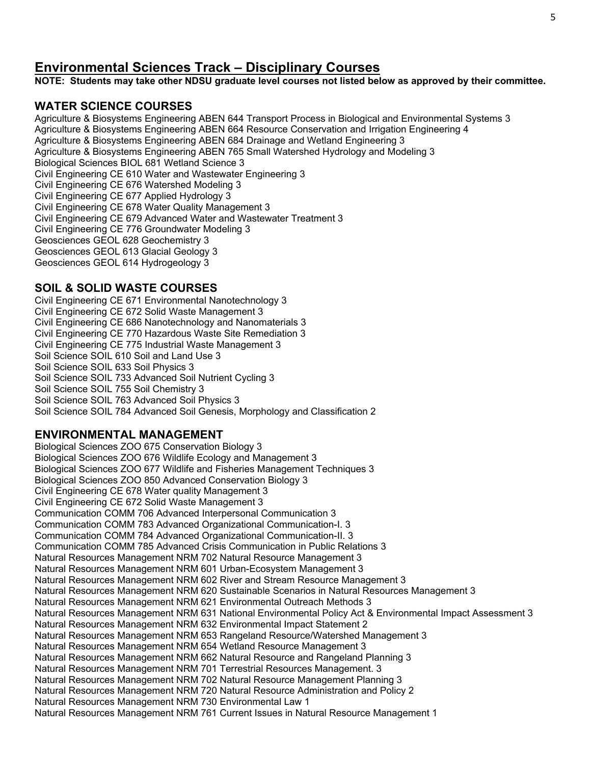## **Environmental Sciences Track – Disciplinary Courses**

**NOTE: Students may take other NDSU graduate level courses not listed below as approved by their committee.** 

## **WATER SCIENCE COURSES**

Agriculture & Biosystems Engineering ABEN 644 Transport Process in Biological and Environmental Systems 3 Agriculture & Biosystems Engineering ABEN 664 Resource Conservation and Irrigation Engineering 4 Agriculture & Biosystems Engineering ABEN 684 Drainage and Wetland Engineering 3 Agriculture & Biosystems Engineering ABEN 765 Small Watershed Hydrology and Modeling 3 Biological Sciences BIOL 681 Wetland Science 3 Civil Engineering CE 610 Water and Wastewater Engineering 3 Civil Engineering CE 676 Watershed Modeling 3 Civil Engineering CE 677 Applied Hydrology 3 Civil Engineering CE 678 Water Quality Management 3 Civil Engineering CE 679 Advanced Water and Wastewater Treatment 3 Civil Engineering CE 776 Groundwater Modeling 3 Geosciences GEOL 628 Geochemistry 3 Geosciences GEOL 613 Glacial Geology 3 Geosciences GEOL 614 Hydrogeology 3

## **SOIL & SOLID WASTE COURSES**

Civil Engineering CE 671 Environmental Nanotechnology 3 Civil Engineering CE 672 Solid Waste Management 3 Civil Engineering CE 686 Nanotechnology and Nanomaterials 3 Civil Engineering CE 770 Hazardous Waste Site Remediation 3 Civil Engineering CE 775 Industrial Waste Management 3 Soil Science SOIL 610 Soil and Land Use 3 Soil Science SOIL 633 Soil Physics 3 Soil Science SOIL 733 Advanced Soil Nutrient Cycling 3 Soil Science SOIL 755 Soil Chemistry 3 Soil Science SOIL 763 Advanced Soil Physics 3 Soil Science SOIL 784 Advanced Soil Genesis, Morphology and Classification 2

## **ENVIRONMENTAL MANAGEMENT**

Biological Sciences ZOO 675 Conservation Biology 3 Biological Sciences ZOO 676 Wildlife Ecology and Management 3 Biological Sciences ZOO 677 Wildlife and Fisheries Management Techniques 3 Biological Sciences ZOO 850 Advanced Conservation Biology 3 Civil Engineering CE 678 Water quality Management 3 Civil Engineering CE 672 Solid Waste Management 3 Communication COMM 706 Advanced Interpersonal Communication 3 Communication COMM 783 Advanced Organizational Communication-I. 3 Communication COMM 784 Advanced Organizational Communication-II. 3 Communication COMM 785 Advanced Crisis Communication in Public Relations 3 Natural Resources Management NRM 702 Natural Resource Management 3 Natural Resources Management NRM 601 Urban-Ecosystem Management 3 Natural Resources Management NRM 602 River and Stream Resource Management 3 Natural Resources Management NRM 620 Sustainable Scenarios in Natural Resources Management 3 Natural Resources Management NRM 621 Environmental Outreach Methods 3 Natural Resources Management NRM 631 National Environmental Policy Act & Environmental Impact Assessment 3 Natural Resources Management NRM 632 Environmental Impact Statement 2 Natural Resources Management NRM 653 Rangeland Resource/Watershed Management 3 Natural Resources Management NRM 654 Wetland Resource Management 3 Natural Resources Management NRM 662 Natural Resource and Rangeland Planning 3 Natural Resources Management NRM 701 Terrestrial Resources Management. 3 Natural Resources Management NRM 702 Natural Resource Management Planning 3 Natural Resources Management NRM 720 Natural Resource Administration and Policy 2 Natural Resources Management NRM 730 Environmental Law 1 Natural Resources Management NRM 761 Current Issues in Natural Resource Management 1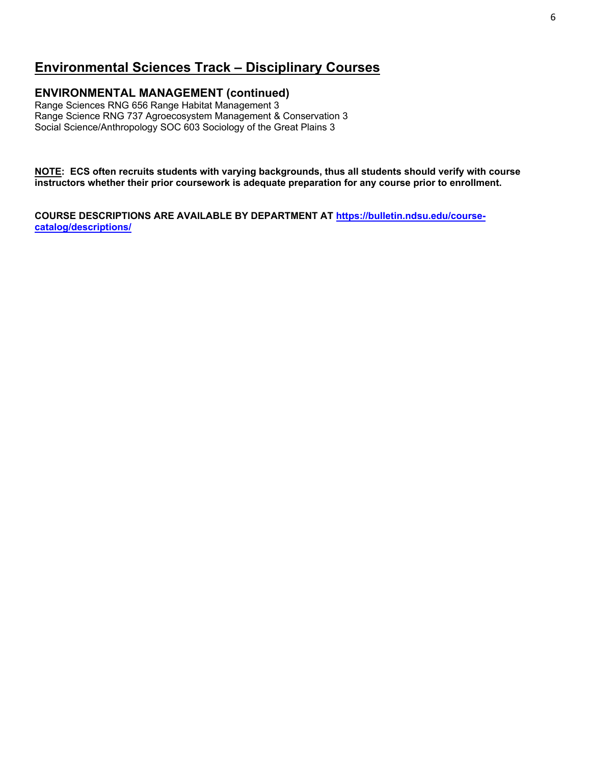# **Environmental Sciences Track – Disciplinary Courses**

## **ENVIRONMENTAL MANAGEMENT (continued)**

Range Sciences RNG 656 Range Habitat Management 3 Range Science RNG 737 Agroecosystem Management & Conservation 3 Social Science/Anthropology SOC 603 Sociology of the Great Plains 3

**NOTE: ECS often recruits students with varying backgrounds, thus all students should verify with course instructors whether their prior coursework is adequate preparation for any course prior to enrollment.**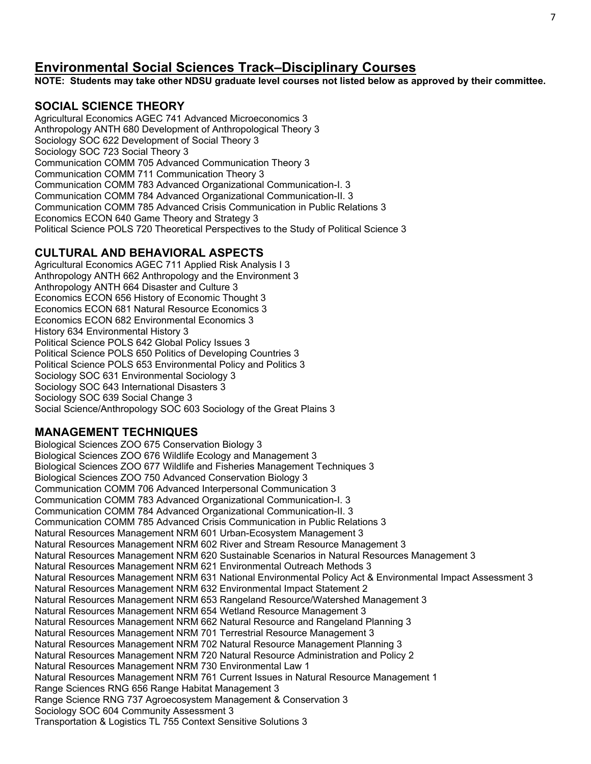## **Environmental Social Sciences Track–Disciplinary Courses**

**NOTE: Students may take other NDSU graduate level courses not listed below as approved by their committee.** 

## **SOCIAL SCIENCE THEORY**

Agricultural Economics AGEC 741 Advanced Microeconomics 3 Anthropology ANTH 680 Development of Anthropological Theory 3 Sociology SOC 622 Development of Social Theory 3 Sociology SOC 723 Social Theory 3 Communication COMM 705 Advanced Communication Theory 3 Communication COMM 711 Communication Theory 3 Communication COMM 783 Advanced Organizational Communication-I. 3 Communication COMM 784 Advanced Organizational Communication-II. 3 Communication COMM 785 Advanced Crisis Communication in Public Relations 3 Economics ECON 640 Game Theory and Strategy 3 Political Science POLS 720 Theoretical Perspectives to the Study of Political Science 3

## **CULTURAL AND BEHAVIORAL ASPECTS**

Agricultural Economics AGEC 711 Applied Risk Analysis I 3 Anthropology ANTH 662 Anthropology and the Environment 3 Anthropology ANTH 664 Disaster and Culture 3 Economics ECON 656 History of Economic Thought 3 Economics ECON 681 Natural Resource Economics 3 Economics ECON 682 Environmental Economics 3 History 634 Environmental History 3 Political Science POLS 642 Global Policy Issues 3 Political Science POLS 650 Politics of Developing Countries 3 Political Science POLS 653 Environmental Policy and Politics 3 Sociology SOC 631 Environmental Sociology 3 Sociology SOC 643 International Disasters 3 Sociology SOC 639 Social Change 3 Social Science/Anthropology SOC 603 Sociology of the Great Plains 3

## **MANAGEMENT TECHNIQUES**

Biological Sciences ZOO 675 Conservation Biology 3 Biological Sciences ZOO 676 Wildlife Ecology and Management 3 Biological Sciences ZOO 677 Wildlife and Fisheries Management Techniques 3 Biological Sciences ZOO 750 Advanced Conservation Biology 3 Communication COMM 706 Advanced Interpersonal Communication 3 Communication COMM 783 Advanced Organizational Communication-I. 3 Communication COMM 784 Advanced Organizational Communication-II. 3 Communication COMM 785 Advanced Crisis Communication in Public Relations 3 Natural Resources Management NRM 601 Urban-Ecosystem Management 3 Natural Resources Management NRM 602 River and Stream Resource Management 3 Natural Resources Management NRM 620 Sustainable Scenarios in Natural Resources Management 3 Natural Resources Management NRM 621 Environmental Outreach Methods 3 Natural Resources Management NRM 631 National Environmental Policy Act & Environmental Impact Assessment 3 Natural Resources Management NRM 632 Environmental Impact Statement 2 Natural Resources Management NRM 653 Rangeland Resource/Watershed Management 3 Natural Resources Management NRM 654 Wetland Resource Management 3 Natural Resources Management NRM 662 Natural Resource and Rangeland Planning 3 Natural Resources Management NRM 701 Terrestrial Resource Management 3 Natural Resources Management NRM 702 Natural Resource Management Planning 3 Natural Resources Management NRM 720 Natural Resource Administration and Policy 2 Natural Resources Management NRM 730 Environmental Law 1 Natural Resources Management NRM 761 Current Issues in Natural Resource Management 1 Range Sciences RNG 656 Range Habitat Management 3 Range Science RNG 737 Agroecosystem Management & Conservation 3 Sociology SOC 604 Community Assessment 3 Transportation & Logistics TL 755 Context Sensitive Solutions 3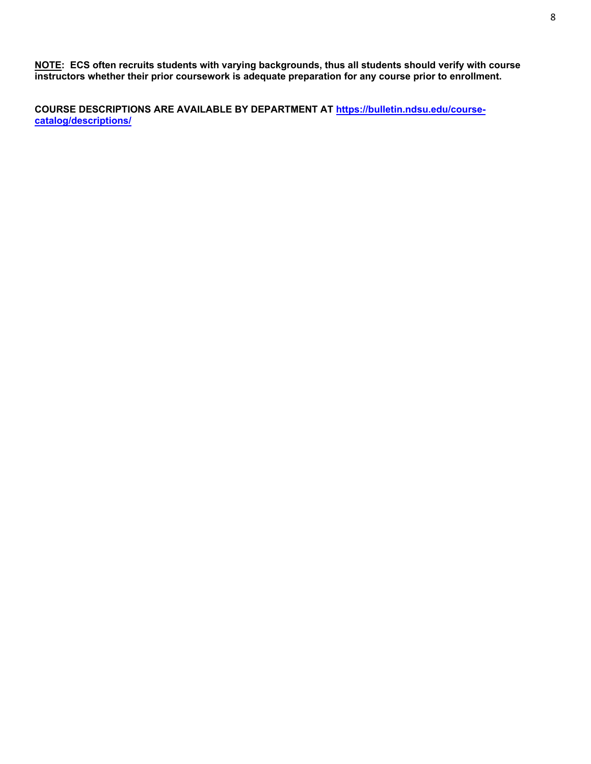**NOTE: ECS often recruits students with varying backgrounds, thus all students should verify with course instructors whether their prior coursework is adequate preparation for any course prior to enrollment.**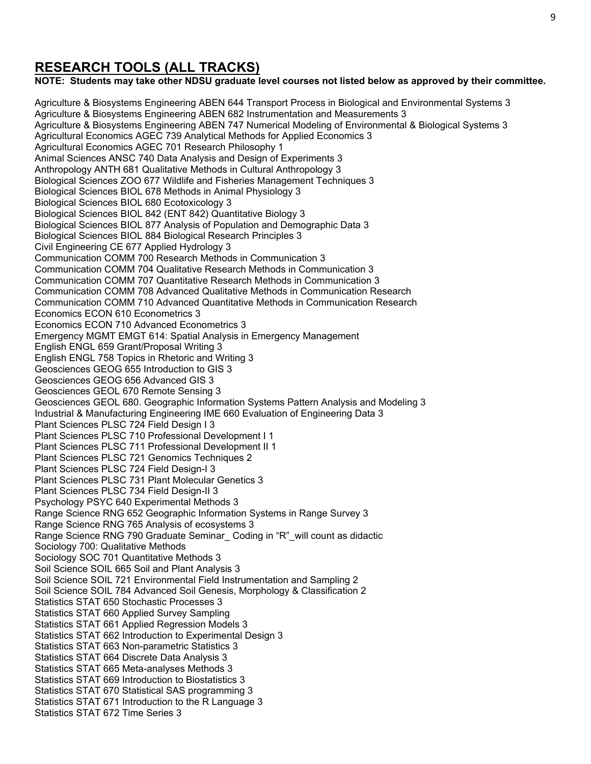# **RESEARCH TOOLS (ALL TRACKS)**

#### **NOTE: Students may take other NDSU graduate level courses not listed below as approved by their committee.**

Agriculture & Biosystems Engineering ABEN 644 Transport Process in Biological and Environmental Systems 3 Agriculture & Biosystems Engineering ABEN 682 Instrumentation and Measurements 3 Agriculture & Biosystems Engineering ABEN 747 Numerical Modeling of Environmental & Biological Systems 3 Agricultural Economics AGEC 739 Analytical Methods for Applied Economics 3 Agricultural Economics AGEC 701 Research Philosophy 1 Animal Sciences ANSC 740 Data Analysis and Design of Experiments 3 Anthropology ANTH 681 Qualitative Methods in Cultural Anthropology 3 Biological Sciences ZOO 677 Wildlife and Fisheries Management Techniques 3 Biological Sciences BIOL 678 Methods in Animal Physiology 3 Biological Sciences BIOL 680 Ecotoxicology 3 Biological Sciences BIOL 842 (ENT 842) Quantitative Biology 3 Biological Sciences BIOL 877 Analysis of Population and Demographic Data 3 Biological Sciences BIOL 884 Biological Research Principles 3 Civil Engineering CE 677 Applied Hydrology 3 Communication COMM 700 Research Methods in Communication 3 Communication COMM 704 Qualitative Research Methods in Communication 3 Communication COMM 707 Quantitative Research Methods in Communication 3 Communication COMM 708 Advanced Qualitative Methods in Communication Research Communication COMM 710 Advanced Quantitative Methods in Communication Research Economics ECON 610 Econometrics 3 Economics ECON 710 Advanced Econometrics 3 Emergency MGMT EMGT 614: Spatial Analysis in Emergency Management English ENGL 659 Grant/Proposal Writing 3 English ENGL 758 Topics in Rhetoric and Writing 3 Geosciences GEOG 655 Introduction to GIS 3 Geosciences GEOG 656 Advanced GIS 3 Geosciences GEOL 670 Remote Sensing 3 Geosciences GEOL 680. Geographic Information Systems Pattern Analysis and Modeling 3 Industrial & Manufacturing Engineering IME 660 Evaluation of Engineering Data 3 Plant Sciences PLSC 724 Field Design I 3 Plant Sciences PLSC 710 Professional Development I 1 Plant Sciences PLSC 711 Professional Development II 1 Plant Sciences PLSC 721 Genomics Techniques 2 Plant Sciences PLSC 724 Field Design-I 3 Plant Sciences PLSC 731 Plant Molecular Genetics 3 Plant Sciences PLSC 734 Field Design-II 3 Psychology PSYC 640 Experimental Methods 3 Range Science RNG 652 Geographic Information Systems in Range Survey 3 Range Science RNG 765 Analysis of ecosystems 3 Range Science RNG 790 Graduate Seminar\_ Coding in "R"\_will count as didactic Sociology 700: Qualitative Methods Sociology SOC 701 Quantitative Methods 3 Soil Science SOIL 665 Soil and Plant Analysis 3 Soil Science SOIL 721 Environmental Field Instrumentation and Sampling 2 Soil Science SOIL 784 Advanced Soil Genesis, Morphology & Classification 2 Statistics STAT 650 Stochastic Processes 3 Statistics STAT 660 Applied Survey Sampling Statistics STAT 661 Applied Regression Models 3 Statistics STAT 662 Introduction to Experimental Design 3 Statistics STAT 663 Non-parametric Statistics 3 Statistics STAT 664 Discrete Data Analysis 3 Statistics STAT 665 Meta-analyses Methods 3 Statistics STAT 669 Introduction to Biostatistics 3 Statistics STAT 670 Statistical SAS programming 3 Statistics STAT 671 Introduction to the R Language 3 Statistics STAT 672 Time Series 3